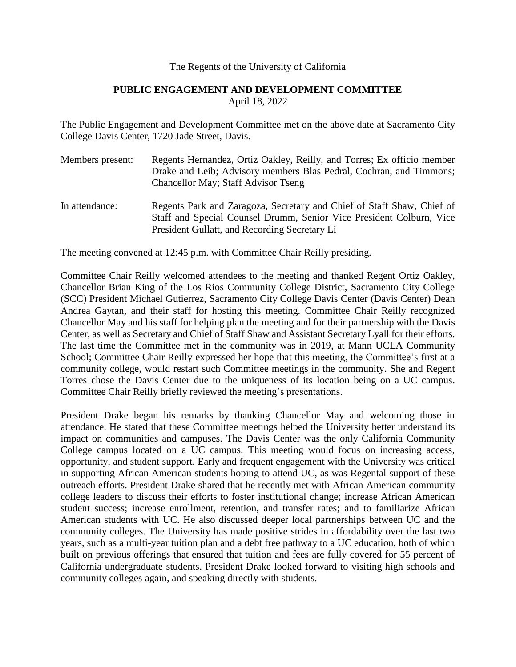#### The Regents of the University of California

## **PUBLIC ENGAGEMENT AND DEVELOPMENT COMMITTEE** April 18, 2022

The Public Engagement and Development Committee met on the above date at Sacramento City College Davis Center, 1720 Jade Street, Davis.

- Members present: Regents Hernandez, Ortiz Oakley, Reilly, and Torres; Ex officio member Drake and Leib; Advisory members Blas Pedral, Cochran, and Timmons; Chancellor May; Staff Advisor Tseng
- In attendance: Regents Park and Zaragoza, Secretary and Chief of Staff Shaw, Chief of Staff and Special Counsel Drumm, Senior Vice President Colburn, Vice President Gullatt, and Recording Secretary Li

The meeting convened at 12:45 p.m. with Committee Chair Reilly presiding.

Committee Chair Reilly welcomed attendees to the meeting and thanked Regent Ortiz Oakley, Chancellor Brian King of the Los Rios Community College District, Sacramento City College (SCC) President Michael Gutierrez, Sacramento City College Davis Center (Davis Center) Dean Andrea Gaytan, and their staff for hosting this meeting. Committee Chair Reilly recognized Chancellor May and his staff for helping plan the meeting and for their partnership with the Davis Center, as well as Secretary and Chief of Staff Shaw and Assistant Secretary Lyall for their efforts. The last time the Committee met in the community was in 2019, at Mann UCLA Community School; Committee Chair Reilly expressed her hope that this meeting, the Committee's first at a community college, would restart such Committee meetings in the community. She and Regent Torres chose the Davis Center due to the uniqueness of its location being on a UC campus. Committee Chair Reilly briefly reviewed the meeting's presentations.

President Drake began his remarks by thanking Chancellor May and welcoming those in attendance. He stated that these Committee meetings helped the University better understand its impact on communities and campuses. The Davis Center was the only California Community College campus located on a UC campus. This meeting would focus on increasing access, opportunity, and student support. Early and frequent engagement with the University was critical in supporting African American students hoping to attend UC, as was Regental support of these outreach efforts. President Drake shared that he recently met with African American community college leaders to discuss their efforts to foster institutional change; increase African American student success; increase enrollment, retention, and transfer rates; and to familiarize African American students with UC. He also discussed deeper local partnerships between UC and the community colleges. The University has made positive strides in affordability over the last two years, such as a multi-year tuition plan and a debt free pathway to a UC education, both of which built on previous offerings that ensured that tuition and fees are fully covered for 55 percent of California undergraduate students. President Drake looked forward to visiting high schools and community colleges again, and speaking directly with students.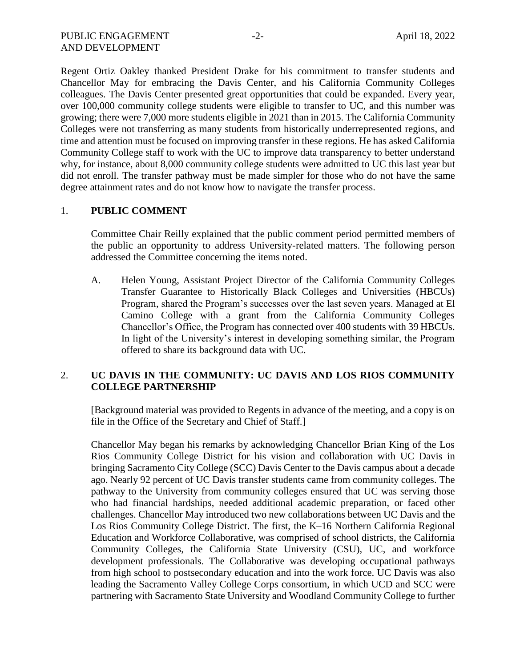Regent Ortiz Oakley thanked President Drake for his commitment to transfer students and Chancellor May for embracing the Davis Center, and his California Community Colleges colleagues. The Davis Center presented great opportunities that could be expanded. Every year, over 100,000 community college students were eligible to transfer to UC, and this number was growing; there were 7,000 more students eligible in 2021 than in 2015. The California Community Colleges were not transferring as many students from historically underrepresented regions, and time and attention must be focused on improving transfer in these regions. He has asked California Community College staff to work with the UC to improve data transparency to better understand why, for instance, about 8,000 community college students were admitted to UC this last year but did not enroll. The transfer pathway must be made simpler for those who do not have the same degree attainment rates and do not know how to navigate the transfer process.

#### 1. **PUBLIC COMMENT**

Committee Chair Reilly explained that the public comment period permitted members of the public an opportunity to address University-related matters. The following person addressed the Committee concerning the items noted.

A. Helen Young, Assistant Project Director of the California Community Colleges Transfer Guarantee to Historically Black Colleges and Universities (HBCUs) Program, shared the Program's successes over the last seven years. Managed at El Camino College with a grant from the California Community Colleges Chancellor's Office, the Program has connected over 400 students with 39 HBCUs. In light of the University's interest in developing something similar, the Program offered to share its background data with UC.

# 2. **UC DAVIS IN THE COMMUNITY: UC DAVIS AND LOS RIOS COMMUNITY COLLEGE PARTNERSHIP**

[Background material was provided to Regents in advance of the meeting, and a copy is on file in the Office of the Secretary and Chief of Staff.]

Chancellor May began his remarks by acknowledging Chancellor Brian King of the Los Rios Community College District for his vision and collaboration with UC Davis in bringing Sacramento City College (SCC) Davis Center to the Davis campus about a decade ago. Nearly 92 percent of UC Davis transfer students came from community colleges. The pathway to the University from community colleges ensured that UC was serving those who had financial hardships, needed additional academic preparation, or faced other challenges. Chancellor May introduced two new collaborations between UC Davis and the Los Rios Community College District. The first, the K–16 Northern California Regional Education and Workforce Collaborative, was comprised of school districts, the California Community Colleges, the California State University (CSU), UC, and workforce development professionals. The Collaborative was developing occupational pathways from high school to postsecondary education and into the work force. UC Davis was also leading the Sacramento Valley College Corps consortium, in which UCD and SCC were partnering with Sacramento State University and Woodland Community College to further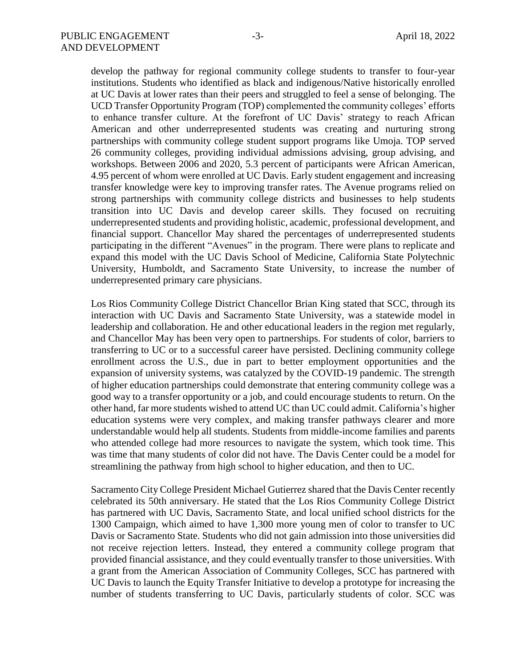develop the pathway for regional community college students to transfer to four-year institutions. Students who identified as black and indigenous/Native historically enrolled at UC Davis at lower rates than their peers and struggled to feel a sense of belonging. The UCD Transfer Opportunity Program (TOP) complemented the community colleges' efforts to enhance transfer culture. At the forefront of UC Davis' strategy to reach African American and other underrepresented students was creating and nurturing strong partnerships with community college student support programs like Umoja. TOP served 26 community colleges, providing individual admissions advising, group advising, and workshops. Between 2006 and 2020, 5.3 percent of participants were African American, 4.95 percent of whom were enrolled at UC Davis. Early student engagement and increasing transfer knowledge were key to improving transfer rates. The Avenue programs relied on strong partnerships with community college districts and businesses to help students transition into UC Davis and develop career skills. They focused on recruiting underrepresented students and providing holistic, academic, professional development, and financial support. Chancellor May shared the percentages of underrepresented students participating in the different "Avenues" in the program. There were plans to replicate and expand this model with the UC Davis School of Medicine, California State Polytechnic University, Humboldt, and Sacramento State University, to increase the number of underrepresented primary care physicians.

Los Rios Community College District Chancellor Brian King stated that SCC, through its interaction with UC Davis and Sacramento State University, was a statewide model in leadership and collaboration. He and other educational leaders in the region met regularly, and Chancellor May has been very open to partnerships. For students of color, barriers to transferring to UC or to a successful career have persisted. Declining community college enrollment across the U.S., due in part to better employment opportunities and the expansion of university systems, was catalyzed by the COVID-19 pandemic. The strength of higher education partnerships could demonstrate that entering community college was a good way to a transfer opportunity or a job, and could encourage students to return. On the other hand, far more students wished to attend UC than UC could admit. California's higher education systems were very complex, and making transfer pathways clearer and more understandable would help all students. Students from middle-income families and parents who attended college had more resources to navigate the system, which took time. This was time that many students of color did not have. The Davis Center could be a model for streamlining the pathway from high school to higher education, and then to UC.

Sacramento City College President Michael Gutierrez shared that the Davis Center recently celebrated its 50th anniversary. He stated that the Los Rios Community College District has partnered with UC Davis, Sacramento State, and local unified school districts for the 1300 Campaign, which aimed to have 1,300 more young men of color to transfer to UC Davis or Sacramento State. Students who did not gain admission into those universities did not receive rejection letters. Instead, they entered a community college program that provided financial assistance, and they could eventually transfer to those universities. With a grant from the American Association of Community Colleges, SCC has partnered with UC Davis to launch the Equity Transfer Initiative to develop a prototype for increasing the number of students transferring to UC Davis, particularly students of color. SCC was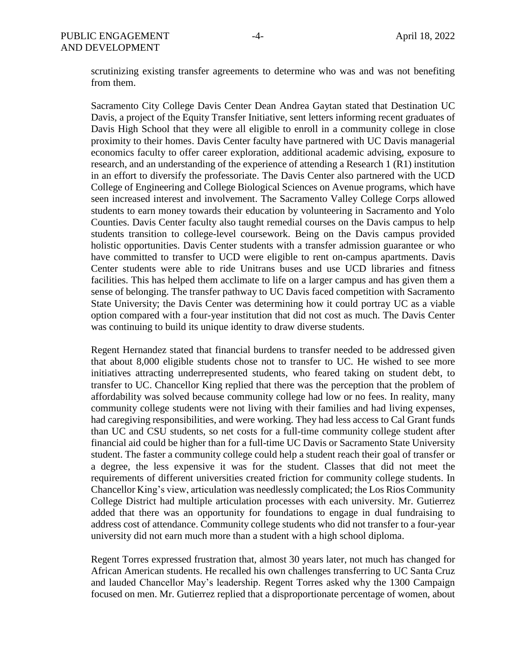scrutinizing existing transfer agreements to determine who was and was not benefiting from them.

Sacramento City College Davis Center Dean Andrea Gaytan stated that Destination UC Davis, a project of the Equity Transfer Initiative, sent letters informing recent graduates of Davis High School that they were all eligible to enroll in a community college in close proximity to their homes. Davis Center faculty have partnered with UC Davis managerial economics faculty to offer career exploration, additional academic advising, exposure to research, and an understanding of the experience of attending a Research 1 (R1) institution in an effort to diversify the professoriate. The Davis Center also partnered with the UCD College of Engineering and College Biological Sciences on Avenue programs, which have seen increased interest and involvement. The Sacramento Valley College Corps allowed students to earn money towards their education by volunteering in Sacramento and Yolo Counties. Davis Center faculty also taught remedial courses on the Davis campus to help students transition to college-level coursework. Being on the Davis campus provided holistic opportunities. Davis Center students with a transfer admission guarantee or who have committed to transfer to UCD were eligible to rent on-campus apartments. Davis Center students were able to ride Unitrans buses and use UCD libraries and fitness facilities. This has helped them acclimate to life on a larger campus and has given them a sense of belonging. The transfer pathway to UC Davis faced competition with Sacramento State University; the Davis Center was determining how it could portray UC as a viable option compared with a four-year institution that did not cost as much. The Davis Center was continuing to build its unique identity to draw diverse students.

Regent Hernandez stated that financial burdens to transfer needed to be addressed given that about 8,000 eligible students chose not to transfer to UC. He wished to see more initiatives attracting underrepresented students, who feared taking on student debt, to transfer to UC. Chancellor King replied that there was the perception that the problem of affordability was solved because community college had low or no fees. In reality, many community college students were not living with their families and had living expenses, had caregiving responsibilities, and were working. They had less access to Cal Grant funds than UC and CSU students, so net costs for a full-time community college student after financial aid could be higher than for a full-time UC Davis or Sacramento State University student. The faster a community college could help a student reach their goal of transfer or a degree, the less expensive it was for the student. Classes that did not meet the requirements of different universities created friction for community college students. In Chancellor King's view, articulation was needlessly complicated; the Los Rios Community College District had multiple articulation processes with each university. Mr. Gutierrez added that there was an opportunity for foundations to engage in dual fundraising to address cost of attendance. Community college students who did not transfer to a four-year university did not earn much more than a student with a high school diploma.

Regent Torres expressed frustration that, almost 30 years later, not much has changed for African American students. He recalled his own challenges transferring to UC Santa Cruz and lauded Chancellor May's leadership. Regent Torres asked why the 1300 Campaign focused on men. Mr. Gutierrez replied that a disproportionate percentage of women, about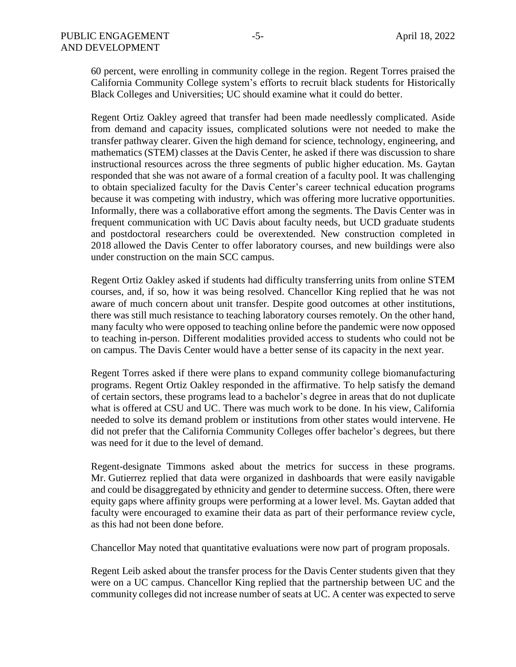60 percent, were enrolling in community college in the region. Regent Torres praised the California Community College system's efforts to recruit black students for Historically Black Colleges and Universities; UC should examine what it could do better.

Regent Ortiz Oakley agreed that transfer had been made needlessly complicated. Aside from demand and capacity issues, complicated solutions were not needed to make the transfer pathway clearer. Given the high demand for science, technology, engineering, and mathematics (STEM) classes at the Davis Center, he asked if there was discussion to share instructional resources across the three segments of public higher education. Ms. Gaytan responded that she was not aware of a formal creation of a faculty pool. It was challenging to obtain specialized faculty for the Davis Center's career technical education programs because it was competing with industry, which was offering more lucrative opportunities. Informally, there was a collaborative effort among the segments. The Davis Center was in frequent communication with UC Davis about faculty needs, but UCD graduate students and postdoctoral researchers could be overextended. New construction completed in 2018 allowed the Davis Center to offer laboratory courses, and new buildings were also under construction on the main SCC campus.

Regent Ortiz Oakley asked if students had difficulty transferring units from online STEM courses, and, if so, how it was being resolved. Chancellor King replied that he was not aware of much concern about unit transfer. Despite good outcomes at other institutions, there was still much resistance to teaching laboratory courses remotely. On the other hand, many faculty who were opposed to teaching online before the pandemic were now opposed to teaching in-person. Different modalities provided access to students who could not be on campus. The Davis Center would have a better sense of its capacity in the next year.

Regent Torres asked if there were plans to expand community college biomanufacturing programs. Regent Ortiz Oakley responded in the affirmative. To help satisfy the demand of certain sectors, these programs lead to a bachelor's degree in areas that do not duplicate what is offered at CSU and UC. There was much work to be done. In his view, California needed to solve its demand problem or institutions from other states would intervene. He did not prefer that the California Community Colleges offer bachelor's degrees, but there was need for it due to the level of demand.

Regent-designate Timmons asked about the metrics for success in these programs. Mr. Gutierrez replied that data were organized in dashboards that were easily navigable and could be disaggregated by ethnicity and gender to determine success. Often, there were equity gaps where affinity groups were performing at a lower level. Ms. Gaytan added that faculty were encouraged to examine their data as part of their performance review cycle, as this had not been done before.

Chancellor May noted that quantitative evaluations were now part of program proposals.

Regent Leib asked about the transfer process for the Davis Center students given that they were on a UC campus. Chancellor King replied that the partnership between UC and the community colleges did not increase number of seats at UC. A center was expected to serve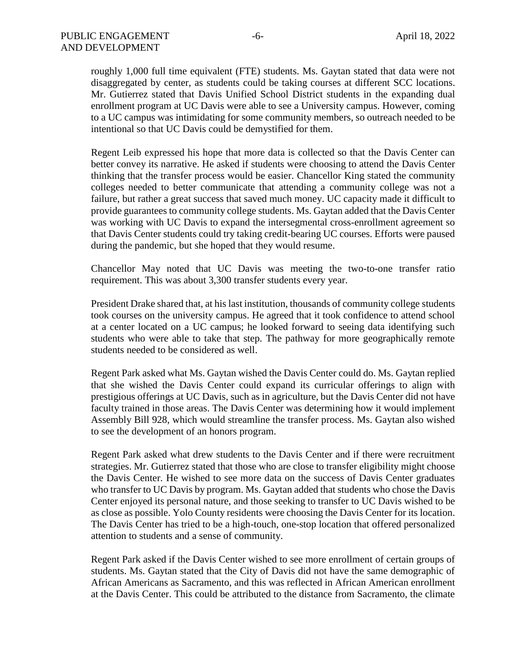roughly 1,000 full time equivalent (FTE) students. Ms. Gaytan stated that data were not disaggregated by center, as students could be taking courses at different SCC locations. Mr. Gutierrez stated that Davis Unified School District students in the expanding dual enrollment program at UC Davis were able to see a University campus. However, coming to a UC campus was intimidating for some community members, so outreach needed to be intentional so that UC Davis could be demystified for them.

Regent Leib expressed his hope that more data is collected so that the Davis Center can better convey its narrative. He asked if students were choosing to attend the Davis Center thinking that the transfer process would be easier. Chancellor King stated the community colleges needed to better communicate that attending a community college was not a failure, but rather a great success that saved much money. UC capacity made it difficult to provide guarantees to community college students. Ms. Gaytan added that the Davis Center was working with UC Davis to expand the intersegmental cross-enrollment agreement so that Davis Center students could try taking credit-bearing UC courses. Efforts were paused during the pandemic, but she hoped that they would resume.

Chancellor May noted that UC Davis was meeting the two-to-one transfer ratio requirement. This was about 3,300 transfer students every year.

President Drake shared that, at his last institution, thousands of community college students took courses on the university campus. He agreed that it took confidence to attend school at a center located on a UC campus; he looked forward to seeing data identifying such students who were able to take that step. The pathway for more geographically remote students needed to be considered as well.

Regent Park asked what Ms. Gaytan wished the Davis Center could do. Ms. Gaytan replied that she wished the Davis Center could expand its curricular offerings to align with prestigious offerings at UC Davis, such as in agriculture, but the Davis Center did not have faculty trained in those areas. The Davis Center was determining how it would implement Assembly Bill 928, which would streamline the transfer process. Ms. Gaytan also wished to see the development of an honors program.

Regent Park asked what drew students to the Davis Center and if there were recruitment strategies. Mr. Gutierrez stated that those who are close to transfer eligibility might choose the Davis Center. He wished to see more data on the success of Davis Center graduates who transfer to UC Davis by program. Ms. Gaytan added that students who chose the Davis Center enjoyed its personal nature, and those seeking to transfer to UC Davis wished to be as close as possible. Yolo County residents were choosing the Davis Center for its location. The Davis Center has tried to be a high-touch, one-stop location that offered personalized attention to students and a sense of community.

Regent Park asked if the Davis Center wished to see more enrollment of certain groups of students. Ms. Gaytan stated that the City of Davis did not have the same demographic of African Americans as Sacramento, and this was reflected in African American enrollment at the Davis Center. This could be attributed to the distance from Sacramento, the climate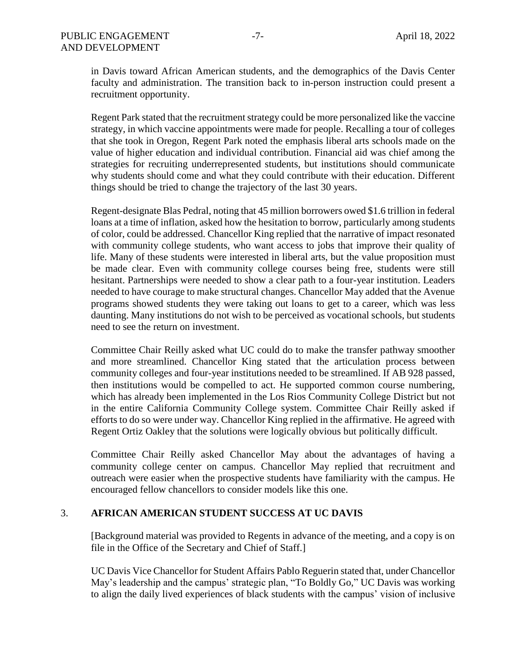in Davis toward African American students, and the demographics of the Davis Center faculty and administration. The transition back to in-person instruction could present a recruitment opportunity.

Regent Park stated that the recruitment strategy could be more personalized like the vaccine strategy, in which vaccine appointments were made for people. Recalling a tour of colleges that she took in Oregon, Regent Park noted the emphasis liberal arts schools made on the value of higher education and individual contribution. Financial aid was chief among the strategies for recruiting underrepresented students, but institutions should communicate why students should come and what they could contribute with their education. Different things should be tried to change the trajectory of the last 30 years.

Regent-designate Blas Pedral, noting that 45 million borrowers owed \$1.6 trillion in federal loans at a time of inflation, asked how the hesitation to borrow, particularly among students of color, could be addressed. Chancellor King replied that the narrative of impact resonated with community college students, who want access to jobs that improve their quality of life. Many of these students were interested in liberal arts, but the value proposition must be made clear. Even with community college courses being free, students were still hesitant. Partnerships were needed to show a clear path to a four-year institution. Leaders needed to have courage to make structural changes. Chancellor May added that the Avenue programs showed students they were taking out loans to get to a career, which was less daunting. Many institutions do not wish to be perceived as vocational schools, but students need to see the return on investment.

Committee Chair Reilly asked what UC could do to make the transfer pathway smoother and more streamlined. Chancellor King stated that the articulation process between community colleges and four-year institutions needed to be streamlined. If AB 928 passed, then institutions would be compelled to act. He supported common course numbering, which has already been implemented in the Los Rios Community College District but not in the entire California Community College system. Committee Chair Reilly asked if efforts to do so were under way. Chancellor King replied in the affirmative. He agreed with Regent Ortiz Oakley that the solutions were logically obvious but politically difficult.

Committee Chair Reilly asked Chancellor May about the advantages of having a community college center on campus. Chancellor May replied that recruitment and outreach were easier when the prospective students have familiarity with the campus. He encouraged fellow chancellors to consider models like this one.

## 3. **AFRICAN AMERICAN STUDENT SUCCESS AT UC DAVIS**

[Background material was provided to Regents in advance of the meeting, and a copy is on file in the Office of the Secretary and Chief of Staff.]

UC Davis Vice Chancellor for Student Affairs Pablo Reguerin stated that, under Chancellor May's leadership and the campus' strategic plan, "To Boldly Go," UC Davis was working to align the daily lived experiences of black students with the campus' vision of inclusive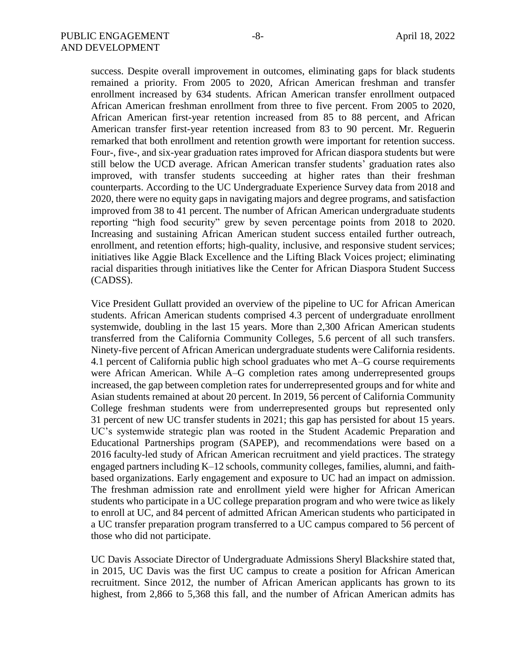success. Despite overall improvement in outcomes, eliminating gaps for black students remained a priority. From 2005 to 2020, African American freshman and transfer enrollment increased by 634 students. African American transfer enrollment outpaced African American freshman enrollment from three to five percent. From 2005 to 2020, African American first-year retention increased from 85 to 88 percent, and African American transfer first-year retention increased from 83 to 90 percent. Mr. Reguerin remarked that both enrollment and retention growth were important for retention success. Four-, five-, and six-year graduation rates improved for African diaspora students but were still below the UCD average. African American transfer students' graduation rates also improved, with transfer students succeeding at higher rates than their freshman counterparts. According to the UC Undergraduate Experience Survey data from 2018 and 2020, there were no equity gaps in navigating majors and degree programs, and satisfaction improved from 38 to 41 percent. The number of African American undergraduate students reporting "high food security" grew by seven percentage points from 2018 to 2020. Increasing and sustaining African American student success entailed further outreach, enrollment, and retention efforts; high-quality, inclusive, and responsive student services; initiatives like Aggie Black Excellence and the Lifting Black Voices project; eliminating racial disparities through initiatives like the Center for African Diaspora Student Success (CADSS).

Vice President Gullatt provided an overview of the pipeline to UC for African American students. African American students comprised 4.3 percent of undergraduate enrollment systemwide, doubling in the last 15 years. More than 2,300 African American students transferred from the California Community Colleges, 5.6 percent of all such transfers. Ninety-five percent of African American undergraduate students were California residents. 4.1 percent of California public high school graduates who met A–G course requirements were African American. While A–G completion rates among underrepresented groups increased, the gap between completion rates for underrepresented groups and for white and Asian students remained at about 20 percent. In 2019, 56 percent of California Community College freshman students were from underrepresented groups but represented only 31 percent of new UC transfer students in 2021; this gap has persisted for about 15 years. UC's systemwide strategic plan was rooted in the Student Academic Preparation and Educational Partnerships program (SAPEP), and recommendations were based on a 2016 faculty-led study of African American recruitment and yield practices. The strategy engaged partners including K–12 schools, community colleges, families, alumni, and faithbased organizations. Early engagement and exposure to UC had an impact on admission. The freshman admission rate and enrollment yield were higher for African American students who participate in a UC college preparation program and who were twice as likely to enroll at UC, and 84 percent of admitted African American students who participated in a UC transfer preparation program transferred to a UC campus compared to 56 percent of those who did not participate.

UC Davis Associate Director of Undergraduate Admissions Sheryl Blackshire stated that, in 2015, UC Davis was the first UC campus to create a position for African American recruitment. Since 2012, the number of African American applicants has grown to its highest, from 2,866 to 5,368 this fall, and the number of African American admits has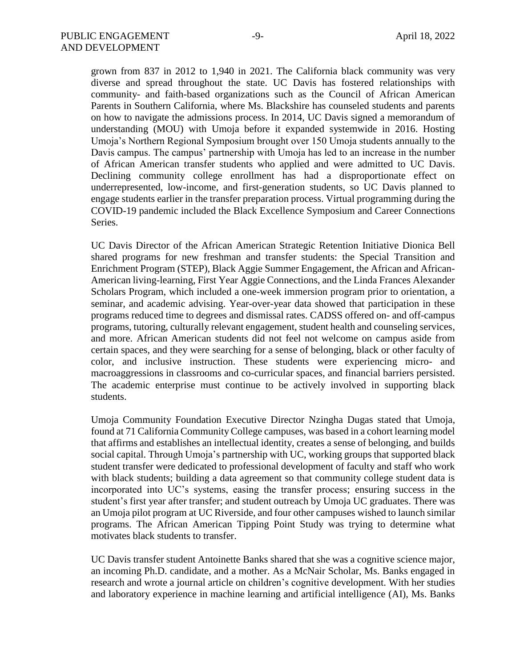grown from 837 in 2012 to 1,940 in 2021. The California black community was very diverse and spread throughout the state. UC Davis has fostered relationships with community- and faith-based organizations such as the Council of African American Parents in Southern California, where Ms. Blackshire has counseled students and parents on how to navigate the admissions process. In 2014, UC Davis signed a memorandum of understanding (MOU) with Umoja before it expanded systemwide in 2016. Hosting Umoja's Northern Regional Symposium brought over 150 Umoja students annually to the Davis campus. The campus' partnership with Umoja has led to an increase in the number of African American transfer students who applied and were admitted to UC Davis. Declining community college enrollment has had a disproportionate effect on underrepresented, low-income, and first-generation students, so UC Davis planned to engage students earlier in the transfer preparation process. Virtual programming during the COVID-19 pandemic included the Black Excellence Symposium and Career Connections Series.

UC Davis Director of the African American Strategic Retention Initiative Dionica Bell shared programs for new freshman and transfer students: the Special Transition and Enrichment Program (STEP), Black Aggie Summer Engagement, the African and African-American living-learning, First Year Aggie Connections, and the Linda Frances Alexander Scholars Program, which included a one-week immersion program prior to orientation, a seminar, and academic advising. Year-over-year data showed that participation in these programs reduced time to degrees and dismissal rates. CADSS offered on- and off-campus programs, tutoring, culturally relevant engagement, student health and counseling services, and more. African American students did not feel not welcome on campus aside from certain spaces, and they were searching for a sense of belonging, black or other faculty of color, and inclusive instruction. These students were experiencing micro- and macroaggressions in classrooms and co-curricular spaces, and financial barriers persisted. The academic enterprise must continue to be actively involved in supporting black students.

Umoja Community Foundation Executive Director Nzingha Dugas stated that Umoja, found at 71 California Community College campuses, was based in a cohort learning model that affirms and establishes an intellectual identity, creates a sense of belonging, and builds social capital. Through Umoja's partnership with UC, working groups that supported black student transfer were dedicated to professional development of faculty and staff who work with black students; building a data agreement so that community college student data is incorporated into UC's systems, easing the transfer process; ensuring success in the student's first year after transfer; and student outreach by Umoja UC graduates. There was an Umoja pilot program at UC Riverside, and four other campuses wished to launch similar programs. The African American Tipping Point Study was trying to determine what motivates black students to transfer.

UC Davis transfer student Antoinette Banks shared that she was a cognitive science major, an incoming Ph.D. candidate, and a mother. As a McNair Scholar, Ms. Banks engaged in research and wrote a journal article on children's cognitive development. With her studies and laboratory experience in machine learning and artificial intelligence (AI), Ms. Banks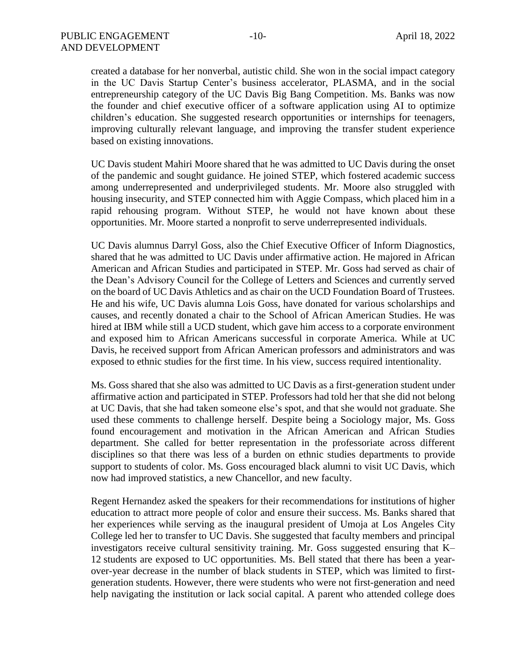created a database for her nonverbal, autistic child. She won in the social impact category in the UC Davis Startup Center's business accelerator, PLASMA, and in the social entrepreneurship category of the UC Davis Big Bang Competition. Ms. Banks was now the founder and chief executive officer of a software application using AI to optimize children's education. She suggested research opportunities or internships for teenagers, improving culturally relevant language, and improving the transfer student experience based on existing innovations.

UC Davis student Mahiri Moore shared that he was admitted to UC Davis during the onset of the pandemic and sought guidance. He joined STEP, which fostered academic success among underrepresented and underprivileged students. Mr. Moore also struggled with housing insecurity, and STEP connected him with Aggie Compass, which placed him in a rapid rehousing program. Without STEP, he would not have known about these opportunities. Mr. Moore started a nonprofit to serve underrepresented individuals.

UC Davis alumnus Darryl Goss, also the Chief Executive Officer of Inform Diagnostics, shared that he was admitted to UC Davis under affirmative action. He majored in African American and African Studies and participated in STEP. Mr. Goss had served as chair of the Dean's Advisory Council for the College of Letters and Sciences and currently served on the board of UC Davis Athletics and as chair on the UCD Foundation Board of Trustees. He and his wife, UC Davis alumna Lois Goss, have donated for various scholarships and causes, and recently donated a chair to the School of African American Studies. He was hired at IBM while still a UCD student, which gave him access to a corporate environment and exposed him to African Americans successful in corporate America. While at UC Davis, he received support from African American professors and administrators and was exposed to ethnic studies for the first time. In his view, success required intentionality.

Ms. Goss shared that she also was admitted to UC Davis as a first-generation student under affirmative action and participated in STEP. Professors had told her that she did not belong at UC Davis, that she had taken someone else's spot, and that she would not graduate. She used these comments to challenge herself. Despite being a Sociology major, Ms. Goss found encouragement and motivation in the African American and African Studies department. She called for better representation in the professoriate across different disciplines so that there was less of a burden on ethnic studies departments to provide support to students of color. Ms. Goss encouraged black alumni to visit UC Davis, which now had improved statistics, a new Chancellor, and new faculty.

Regent Hernandez asked the speakers for their recommendations for institutions of higher education to attract more people of color and ensure their success. Ms. Banks shared that her experiences while serving as the inaugural president of Umoja at Los Angeles City College led her to transfer to UC Davis. She suggested that faculty members and principal investigators receive cultural sensitivity training. Mr. Goss suggested ensuring that K– 12 students are exposed to UC opportunities. Ms. Bell stated that there has been a yearover-year decrease in the number of black students in STEP, which was limited to firstgeneration students. However, there were students who were not first-generation and need help navigating the institution or lack social capital. A parent who attended college does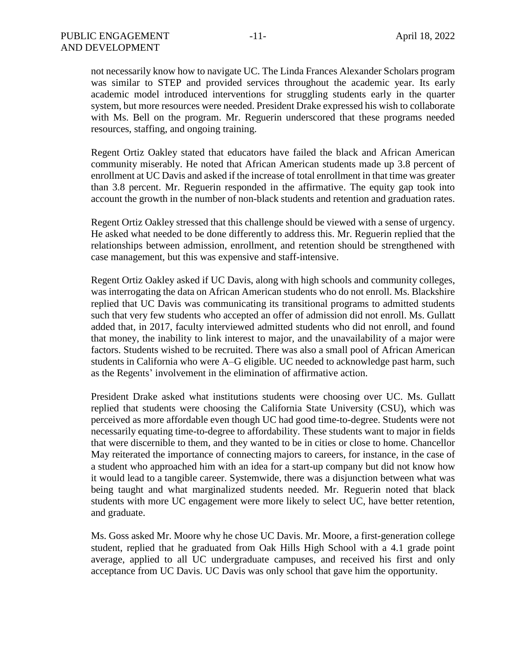not necessarily know how to navigate UC. The Linda Frances Alexander Scholars program was similar to STEP and provided services throughout the academic year. Its early academic model introduced interventions for struggling students early in the quarter system, but more resources were needed. President Drake expressed his wish to collaborate with Ms. Bell on the program. Mr. Reguerin underscored that these programs needed resources, staffing, and ongoing training.

Regent Ortiz Oakley stated that educators have failed the black and African American community miserably. He noted that African American students made up 3.8 percent of enrollment at UC Davis and asked if the increase of total enrollment in that time was greater than 3.8 percent. Mr. Reguerin responded in the affirmative. The equity gap took into account the growth in the number of non-black students and retention and graduation rates.

Regent Ortiz Oakley stressed that this challenge should be viewed with a sense of urgency. He asked what needed to be done differently to address this. Mr. Reguerin replied that the relationships between admission, enrollment, and retention should be strengthened with case management, but this was expensive and staff-intensive.

Regent Ortiz Oakley asked if UC Davis, along with high schools and community colleges, was interrogating the data on African American students who do not enroll. Ms. Blackshire replied that UC Davis was communicating its transitional programs to admitted students such that very few students who accepted an offer of admission did not enroll. Ms. Gullatt added that, in 2017, faculty interviewed admitted students who did not enroll, and found that money, the inability to link interest to major, and the unavailability of a major were factors. Students wished to be recruited. There was also a small pool of African American students in California who were A–G eligible. UC needed to acknowledge past harm, such as the Regents' involvement in the elimination of affirmative action.

President Drake asked what institutions students were choosing over UC. Ms. Gullatt replied that students were choosing the California State University (CSU), which was perceived as more affordable even though UC had good time-to-degree. Students were not necessarily equating time-to-degree to affordability. These students want to major in fields that were discernible to them, and they wanted to be in cities or close to home. Chancellor May reiterated the importance of connecting majors to careers, for instance, in the case of a student who approached him with an idea for a start-up company but did not know how it would lead to a tangible career. Systemwide, there was a disjunction between what was being taught and what marginalized students needed. Mr. Reguerin noted that black students with more UC engagement were more likely to select UC, have better retention, and graduate.

Ms. Goss asked Mr. Moore why he chose UC Davis. Mr. Moore, a first-generation college student, replied that he graduated from Oak Hills High School with a 4.1 grade point average, applied to all UC undergraduate campuses, and received his first and only acceptance from UC Davis. UC Davis was only school that gave him the opportunity.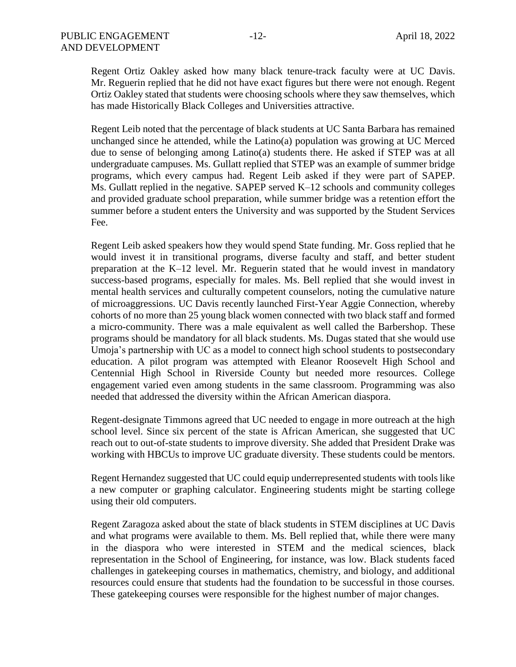Regent Ortiz Oakley asked how many black tenure-track faculty were at UC Davis. Mr. Reguerin replied that he did not have exact figures but there were not enough. Regent Ortiz Oakley stated that students were choosing schools where they saw themselves, which has made Historically Black Colleges and Universities attractive.

Regent Leib noted that the percentage of black students at UC Santa Barbara has remained unchanged since he attended, while the Latino(a) population was growing at UC Merced due to sense of belonging among Latino(a) students there. He asked if STEP was at all undergraduate campuses. Ms. Gullatt replied that STEP was an example of summer bridge programs, which every campus had. Regent Leib asked if they were part of SAPEP. Ms. Gullatt replied in the negative. SAPEP served K–12 schools and community colleges and provided graduate school preparation, while summer bridge was a retention effort the summer before a student enters the University and was supported by the Student Services Fee.

Regent Leib asked speakers how they would spend State funding. Mr. Goss replied that he would invest it in transitional programs, diverse faculty and staff, and better student preparation at the K–12 level. Mr. Reguerin stated that he would invest in mandatory success-based programs, especially for males. Ms. Bell replied that she would invest in mental health services and culturally competent counselors, noting the cumulative nature of microaggressions. UC Davis recently launched First-Year Aggie Connection, whereby cohorts of no more than 25 young black women connected with two black staff and formed a micro-community. There was a male equivalent as well called the Barbershop. These programs should be mandatory for all black students. Ms. Dugas stated that she would use Umoja's partnership with UC as a model to connect high school students to postsecondary education. A pilot program was attempted with Eleanor Roosevelt High School and Centennial High School in Riverside County but needed more resources. College engagement varied even among students in the same classroom. Programming was also needed that addressed the diversity within the African American diaspora.

Regent-designate Timmons agreed that UC needed to engage in more outreach at the high school level. Since six percent of the state is African American, she suggested that UC reach out to out-of-state students to improve diversity. She added that President Drake was working with HBCUs to improve UC graduate diversity. These students could be mentors.

Regent Hernandez suggested that UC could equip underrepresented students with tools like a new computer or graphing calculator. Engineering students might be starting college using their old computers.

Regent Zaragoza asked about the state of black students in STEM disciplines at UC Davis and what programs were available to them. Ms. Bell replied that, while there were many in the diaspora who were interested in STEM and the medical sciences, black representation in the School of Engineering, for instance, was low. Black students faced challenges in gatekeeping courses in mathematics, chemistry, and biology, and additional resources could ensure that students had the foundation to be successful in those courses. These gatekeeping courses were responsible for the highest number of major changes.